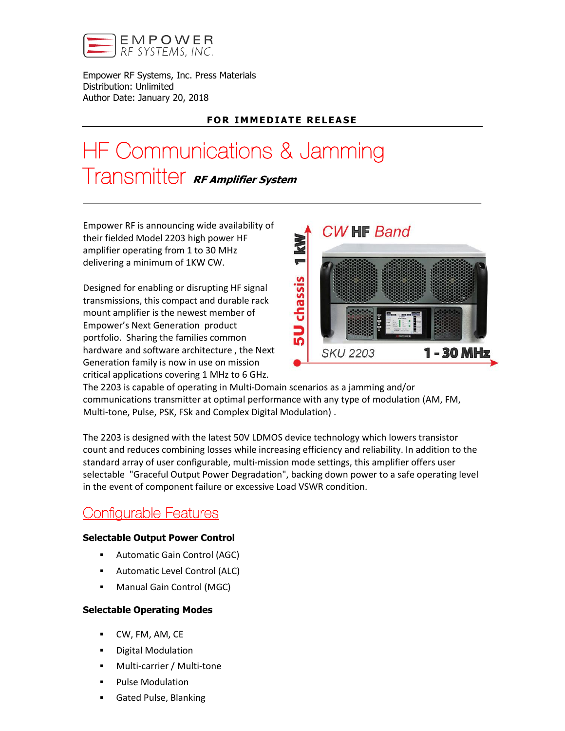

Empower RF Systems, Inc. Press Materials Distribution: Unlimited Author Date: January 20, 2018

# **FOR IMMEDIATE RELEASE**

# HF Communications & Jamming Transmitter RF Amplifier System

Empower RF is announcing wide availability of their fielded Model 2203 high power HF amplifier operating from 1 to 30 MHz delivering a minimum of 1KW CW.

Designed for enabling or disrupting HF signal transmissions, this compact and durable rack mount amplifier is the newest member of Empower's Next Generation product portfolio. Sharing the families common hardware and software architecture , the Next Generation family is now in use on mission critical applications covering 1 MHz to 6 GHz.



The 2203 is capable of operating in Multi-Domain scenarios as a jamming and/or communications transmitter at optimal performance with any type of modulation (AM, FM, Multi-tone, Pulse, PSK, FSk and Complex Digital Modulation) .

The 2203 is designed with the latest 50V LDMOS device technology which lowers transistor count and reduces combining losses while increasing efficiency and reliability. In addition to the standard array of user configurable, multi-mission mode settings, this amplifier offers user selectable "Graceful Output Power Degradation", backing down power to a safe operating level in the event of component failure or excessive Load VSWR condition.

# Configurable Features

# Selectable Output Power Control

- Automatic Gain Control (AGC)
- Automatic Level Control (ALC)
- Manual Gain Control (MGC)

## Selectable Operating Modes

- CW, FM, AM, CE
- **•** Digital Modulation
- Multi-carrier / Multi-tone
- **•** Pulse Modulation
- Gated Pulse, Blanking